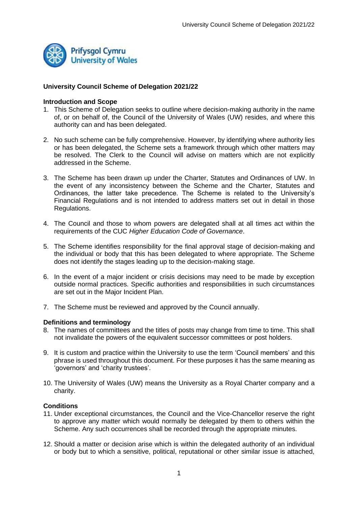

# **University Council Scheme of Delegation 2021/22**

### **Introduction and Scope**

- 1. This Scheme of Delegation seeks to outline where decision-making authority in the name of, or on behalf of, the Council of the University of Wales (UW) resides, and where this authority can and has been delegated.
- 2. No such scheme can be fully comprehensive. However, by identifying where authority lies or has been delegated, the Scheme sets a framework through which other matters may be resolved. The Clerk to the Council will advise on matters which are not explicitly addressed in the Scheme.
- 3. The Scheme has been drawn up under the Charter, Statutes and Ordinances of UW. In the event of any inconsistency between the Scheme and the Charter, Statutes and Ordinances, the latter take precedence. The Scheme is related to the University's Financial Regulations and is not intended to address matters set out in detail in those Regulations.
- 4. The Council and those to whom powers are delegated shall at all times act within the requirements of the CUC *Higher Education Code of Governance*.
- 5. The Scheme identifies responsibility for the final approval stage of decision-making and the individual or body that this has been delegated to where appropriate. The Scheme does not identify the stages leading up to the decision-making stage.
- 6. In the event of a major incident or crisis decisions may need to be made by exception outside normal practices. Specific authorities and responsibilities in such circumstances are set out in the Major Incident Plan.
- 7. The Scheme must be reviewed and approved by the Council annually.

### **Definitions and terminology**

- 8. The names of committees and the titles of posts may change from time to time. This shall not invalidate the powers of the equivalent successor committees or post holders.
- 9. It is custom and practice within the University to use the term 'Council members' and this phrase is used throughout this document. For these purposes it has the same meaning as 'governors' and 'charity trustees'.
- 10. The University of Wales (UW) means the University as a Royal Charter company and a charity.

# **Conditions**

- 11. Under exceptional circumstances, the Council and the Vice-Chancellor reserve the right to approve any matter which would normally be delegated by them to others within the Scheme. Any such occurrences shall be recorded through the appropriate minutes.
- 12. Should a matter or decision arise which is within the delegated authority of an individual or body but to which a sensitive, political, reputational or other similar issue is attached,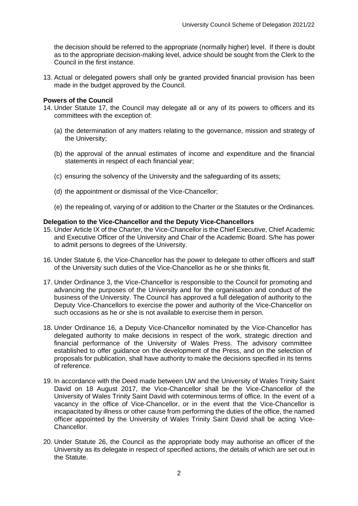the decision should be referred to the appropriate (normally higher) level. If there is doubt as to the appropriate decision-making level, advice should be sought from the Clerk to the Council in the first instance.

13. Actual or delegated powers shall only be granted provided financial provision has been made in the budget approved by the Council.

### **Powers of the Council**

- 14. Under Statute 17, the Council may delegate all or any of its powers to officers and its committees with the exception of:
	- (a) the determination of any matters relating to the governance, mission and strategy of the University;
	- (b) the approval of the annual estimates of income and expenditure and the financial statements in respect of each financial year;
	- (c) ensuring the solvency of the University and the safeguarding of its assets;
	- (d) the appointment or dismissal of the Vice-Chancellor;
	- (e) the repealing of, varying of or addition to the Charter or the Statutes or the Ordinances.

### **Delegation to the Vice-Chancellor and the Deputy Vice-Chancellors**

- 15. Under Article IX of the Charter, the Vice-Chancellor is the Chief Executive, Chief Academic and Executive Officer of the University and Chair of the Academic Board. S/he has power to admit persons to degrees of the University.
- 16. Under Statute 6, the Vice-Chancellor has the power to delegate to other officers and staff of the University such duties of the Vice-Chancellor as he or she thinks fit.
- 17. Under Ordinance 3, the Vice-Chancellor is responsible to the Council for promoting and advancing the purposes of the University and for the organisation and conduct of the business of the University. The Council has approved a full delegation of authority to the Deputy Vice-Chancellors to exercise the power and authority of the Vice-Chancellor on such occasions as he or she is not available to exercise them in person.
- 18. Under Ordinance 16, a Deputy Vice-Chancellor nominated by the Vice-Chancellor has delegated authority to make decisions in respect of the work, strategic direction and financial performance of the University of Wales Press. The advisory committee established to offer guidance on the development of the Press, and on the selection of proposals for publication, shall have authority to make the decisions specified in its terms of reference.
- 19. In accordance with the Deed made between UW and the University of Wales Trinity Saint David on 18 August 2017, the Vice-Chancellor shall be the Vice-Chancellor of the University of Wales Trinity Saint David with coterminous terms of office. In the event of a vacancy in the office of Vice-Chancellor, or in the event that the Vice-Chancellor is incapacitated by illness or other cause from performing the duties of the office, the named officer appointed by the University of Wales Trinity Saint David shall be acting Vice-Chancellor.
- 20. Under Statute 26, the Council as the appropriate body may authorise an officer of the University as its delegate in respect of specified actions, the details of which are set out in the Statute.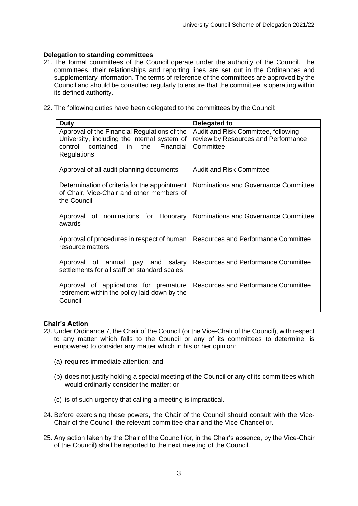# **Delegation to standing committees**

- 21. The formal committees of the Council operate under the authority of the Council. The committees, their relationships and reporting lines are set out in the Ordinances and supplementary information. The terms of reference of the committees are approved by the Council and should be consulted regularly to ensure that the committee is operating within its defined authority.
- 22. The following duties have been delegated to the committees by the Council:

| <b>Duty</b>                                                                                                                                                    | Delegated to                                                                            |
|----------------------------------------------------------------------------------------------------------------------------------------------------------------|-----------------------------------------------------------------------------------------|
| Approval of the Financial Regulations of the<br>University, including the internal system of<br>control contained<br>the Financial<br>in<br><b>Regulations</b> | Audit and Risk Committee, following<br>review by Resources and Performance<br>Committee |
| Approval of all audit planning documents                                                                                                                       | <b>Audit and Risk Committee</b>                                                         |
| Determination of criteria for the appointment<br>of Chair, Vice-Chair and other members of<br>the Council                                                      | Nominations and Governance Committee                                                    |
| Approval of nominations for Honorary<br>awards                                                                                                                 | Nominations and Governance Committee                                                    |
| Approval of procedures in respect of human<br>resource matters                                                                                                 | <b>Resources and Performance Committee</b>                                              |
| Approval of annual pay and<br>salary<br>settlements for all staff on standard scales                                                                           | Resources and Performance Committee                                                     |
| Approval of applications for premature<br>retirement within the policy laid down by the<br>Council                                                             | Resources and Performance Committee                                                     |

# **Chair's Action**

- 23. Under Ordinance 7, the Chair of the Council (or the Vice-Chair of the Council), with respect to any matter which falls to the Council or any of its committees to determine, is empowered to consider any matter which in his or her opinion:
	- (a) requires immediate attention; and
	- (b) does not justify holding a special meeting of the Council or any of its committees which would ordinarily consider the matter; or
	- (c) is of such urgency that calling a meeting is impractical.
- 24. Before exercising these powers, the Chair of the Council should consult with the Vice-Chair of the Council, the relevant committee chair and the Vice-Chancellor.
- 25. Any action taken by the Chair of the Council (or, in the Chair's absence, by the Vice-Chair of the Council) shall be reported to the next meeting of the Council.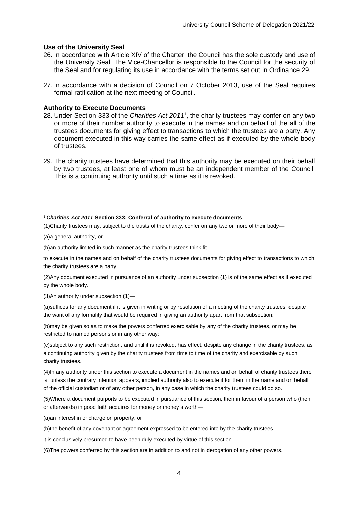#### **Use of the University Seal**

- 26. In accordance with Article XIV of the Charter, the Council has the sole custody and use of the University Seal. The Vice-Chancellor is responsible to the Council for the security of the Seal and for regulating its use in accordance with the terms set out in Ordinance 29.
- 27. In accordance with a decision of Council on 7 October 2013, use of the Seal requires formal ratification at the next meeting of Council.

#### **Authority to Execute Documents**

- 28. Under Section 333 of the *Charities Act 2011*<sup>1</sup> , the charity trustees may confer on any two or more of their number authority to execute in the names and on behalf of the all of the trustees documents for giving effect to transactions to which the trustees are a party. Any document executed in this way carries the same effect as if executed by the whole body of trustees.
- 29. The charity trustees have determined that this authority may be executed on their behalf by two trustees, at least one of whom must be an independent member of the Council. This is a continuing authority until such a time as it is revoked.

(a)a general authority, or

(b)an authority limited in such manner as the charity trustees think fit,

to execute in the names and on behalf of the charity trustees documents for giving effect to transactions to which the charity trustees are a party.

(2)Any document executed in pursuance of an authority under subsection (1) is of the same effect as if executed by the whole body.

(3)An authority under subsection (1)—

(a)suffices for any document if it is given in writing or by resolution of a meeting of the charity trustees, despite the want of any formality that would be required in giving an authority apart from that subsection;

(b)may be given so as to make the powers conferred exercisable by any of the charity trustees, or may be restricted to named persons or in any other way;

(c)subject to any such restriction, and until it is revoked, has effect, despite any change in the charity trustees, as a continuing authority given by the charity trustees from time to time of the charity and exercisable by such charity trustees.

(4)In any authority under this section to execute a document in the names and on behalf of charity trustees there is, unless the contrary intention appears, implied authority also to execute it for them in the name and on behalf of the official custodian or of any other person, in any case in which the charity trustees could do so.

(5)Where a document purports to be executed in pursuance of this section, then in favour of a person who (then or afterwards) in good faith acquires for money or money's worth—

(a)an interest in or charge on property, or

(b)the benefit of any covenant or agreement expressed to be entered into by the charity trustees,

it is conclusively presumed to have been duly executed by virtue of this section.

(6)The powers conferred by this section are in addition to and not in derogation of any other powers.

<sup>1</sup> *Charities Act 2011* **Section 333: Conferral of authority to execute documents**

<sup>(1)</sup>Charity trustees may, subject to the trusts of the charity, confer on any two or more of their body—